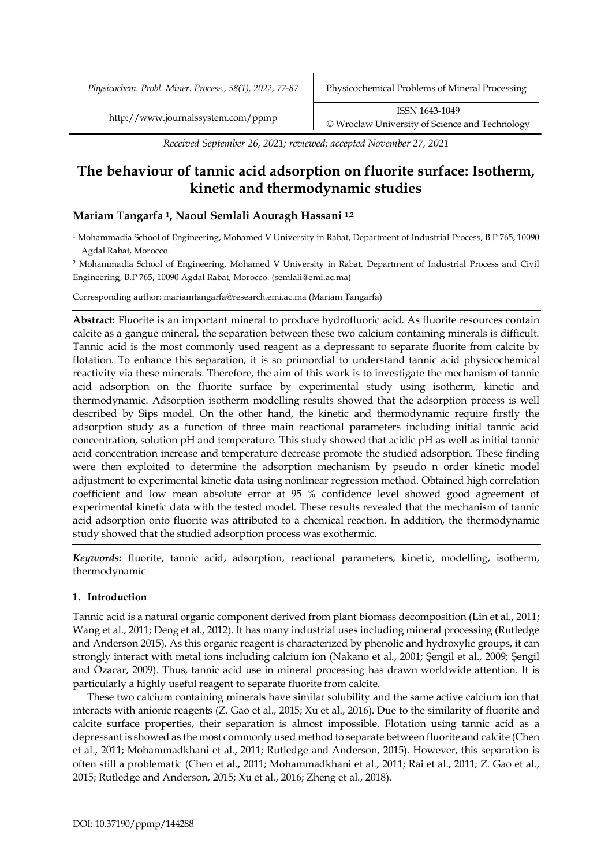*Received September 26, 2021; reviewed; accepted November 27, 2021*

# **The behaviour of tannic acid adsorption on fluorite surface: Isotherm, kinetic and thermodynamic studies**

# **Mariam Tangarfa 1, Naoul Semlali Aouragh Hassani 1,2**

<sup>1</sup> Mohammadia School of Engineering, Mohamed V University in Rabat, Department of Industrial Process, B.P 765, 10090 Agdal Rabat, Morocco.

<sup>2</sup> Mohammadia School of Engineering, Mohamed V University in Rabat, Department of Industrial Process and Civil Engineering, B.P 765, 10090 Agdal Rabat, Morocco. (semlali@emi.ac.ma)

Corresponding author: mariamtangarfa@research.emi.ac.ma (Mariam Tangarfa)

**Abstract:** Fluorite is an important mineral to produce hydrofluoric acid. As fluorite resources contain calcite as a gangue mineral, the separation between these two calcium containing minerals is difficult. Tannic acid is the most commonly used reagent as a depressant to separate fluorite from calcite by flotation. To enhance this separation, it is so primordial to understand tannic acid physicochemical reactivity via these minerals. Therefore, the aim of this work is to investigate the mechanism of tannic acid adsorption on the fluorite surface by experimental study using isotherm, kinetic and thermodynamic. Adsorption isotherm modelling results showed that the adsorption process is well described by Sips model. On the other hand, the kinetic and thermodynamic require firstly the adsorption study as a function of three main reactional parameters including initial tannic acid concentration, solution pH and temperature. This study showed that acidic pH as well as initial tannic acid concentration increase and temperature decrease promote the studied adsorption. These finding were then exploited to determine the adsorption mechanism by pseudo n order kinetic model adjustment to experimental kinetic data using nonlinear regression method. Obtained high correlation coefficient and low mean absolute error at 95 % confidence level showed good agreement of experimental kinetic data with the tested model. These results revealed that the mechanism of tannic acid adsorption onto fluorite was attributed to a chemical reaction. In addition, the thermodynamic study showed that the studied adsorption process was exothermic.

*Keywords:* fluorite, tannic acid, adsorption, reactional parameters, kinetic, modelling, isotherm, thermodynamic

# **1. Introduction**

Tannic acid is a natural organic component derived from plant biomass decomposition (Lin et al., 2011; Wang et al., 2011; Deng et al., 2012). It has many industrial uses including mineral processing (Rutledge and Anderson 2015). As this organic reagent is characterized by phenolic and hydroxylic groups, it can strongly interact with metal ions including calcium ion (Nakano et al., 2001; Şengil et al., 2009; Şengil and Özacar, 2009). Thus, tannic acid use in mineral processing has drawn worldwide attention. It is particularly a highly useful reagent to separate fluorite from calcite.

These two calcium containing minerals have similar solubility and the same active calcium ion that interacts with anionic reagents (Z. Gao et al., 2015; Xu et al., 2016). Due to the similarity of fluorite and calcite surface properties, their separation is almost impossible. Flotation using tannic acid as a depressant is showed as the most commonly used method to separate between fluorite and calcite (Chen et al., 2011; Mohammadkhani et al., 2011; Rutledge and Anderson, 2015). However, this separation is often still a problematic (Chen et al., 2011; Mohammadkhani et al., 2011; Rai et al., 2011; Z. Gao et al., 2015; Rutledge and Anderson, 2015; Xu et al., 2016; Zheng et al., 2018).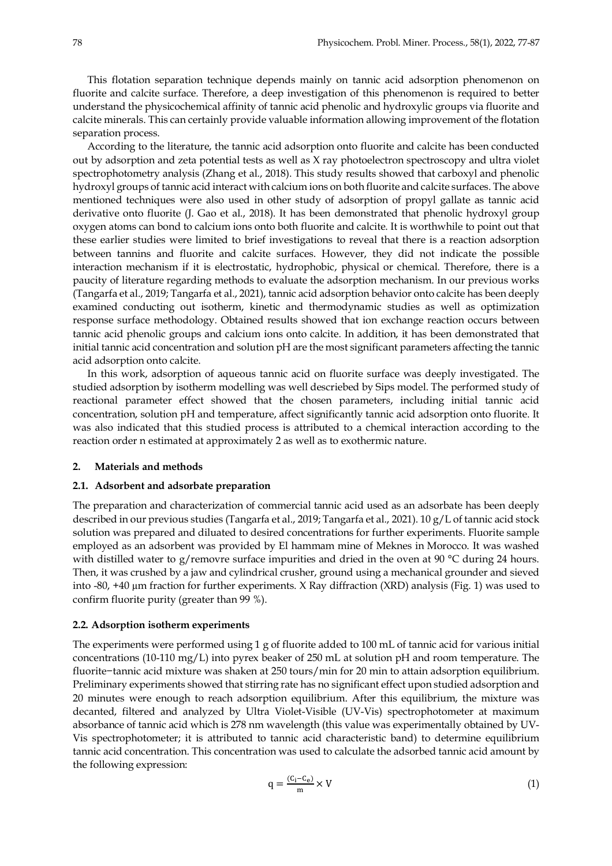This flotation separation technique depends mainly on tannic acid adsorption phenomenon on fluorite and calcite surface. Therefore, a deep investigation of this phenomenon is required to better understand the physicochemical affinity of tannic acid phenolic and hydroxylic groups via fluorite and calcite minerals. This can certainly provide valuable information allowing improvement of the flotation separation process.

According to the literature, the tannic acid adsorption onto fluorite and calcite has been conducted out by adsorption and zeta potential tests as well as X ray photoelectron spectroscopy and ultra violet spectrophotometry analysis (Zhang et al., 2018). This study results showed that carboxyl and phenolic hydroxyl groups of tannic acid interact with calcium ions on both fluorite and calcite surfaces. The above mentioned techniques were also used in other study of adsorption of propyl gallate as tannic acid derivative onto fluorite (J. Gao et al., 2018). It has been demonstrated that phenolic hydroxyl group oxygen atoms can bond to calcium ions onto both fluorite and calcite. It is worthwhile to point out that these earlier studies were limited to brief investigations to reveal that there is a reaction adsorption between tannins and fluorite and calcite surfaces. However, they did not indicate the possible interaction mechanism if it is electrostatic, hydrophobic, physical or chemical. Therefore, there is a paucity of literature regarding methods to evaluate the adsorption mechanism. In our previous works (Tangarfa et al., 2019; Tangarfa et al., 2021), tannic acid adsorption behavior onto calcite has been deeply examined conducting out isotherm, kinetic and thermodynamic studies as well as optimization response surface methodology. Obtained results showed that ion exchange reaction occurs between tannic acid phenolic groups and calcium ions onto calcite. In addition, it has been demonstrated that initial tannic acid concentration and solution pH are the most significant parameters affecting the tannic acid adsorption onto calcite.

In this work, adsorption of aqueous tannic acid on fluorite surface was deeply investigated. The studied adsorption by isotherm modelling was well descriebed by Sips model. The performed study of reactional parameter effect showed that the chosen parameters, including initial tannic acid concentration, solution pH and temperature, affect significantly tannic acid adsorption onto fluorite. It was also indicated that this studied process is attributed to a chemical interaction according to the reaction order n estimated at approximately 2 as well as to exothermic nature.

#### **2. Materials and methods**

#### **2.1. Adsorbent and adsorbate preparation**

The preparation and characterization of commercial tannic acid used as an adsorbate has been deeply described in our previous studies (Tangarfa et al., 2019; Tangarfa et al., 2021). 10 g/L of tannic acid stock solution was prepared and diluated to desired concentrations for further experiments. Fluorite sample employed as an adsorbent was provided by El hammam mine of Meknes in Morocco. It was washed with distilled water to g/removre surface impurities and dried in the oven at 90 °C during 24 hours. Then, it was crushed by a jaw and cylindrical crusher, ground using a mechanical grounder and sieved into -80, +40 µm fraction for further experiments. X Ray diffraction (XRD) analysis (Fig. 1) was used to confirm fluorite purity (greater than 99 %).

#### **2.2. Adsorption isotherm experiments**

The experiments were performed using 1 g of fluorite added to 100 mL of tannic acid for various initial concentrations (10-110 mg/L) into pyrex beaker of 250 mL at solution pH and room temperature. The fluorite−tannic acid mixture was shaken at 250 tours/min for 20 min to attain adsorption equilibrium. Preliminary experiments showed that stirring rate has no significant effect upon studied adsorption and 20 minutes were enough to reach adsorption equilibrium. After this equilibrium, the mixture was decanted, filtered and analyzed by Ultra Violet-Visible (UV-Vis) spectrophotometer at maximum absorbance of tannic acid which is 278 nm wavelength (this value was experimentally obtained by UV-Vis spectrophotometer; it is attributed to tannic acid characteristic band) to determine equilibrium tannic acid concentration. This concentration was used to calculate the adsorbed tannic acid amount by the following expression:

$$
q = \frac{(C_i - C_e)}{m} \times V \tag{1}
$$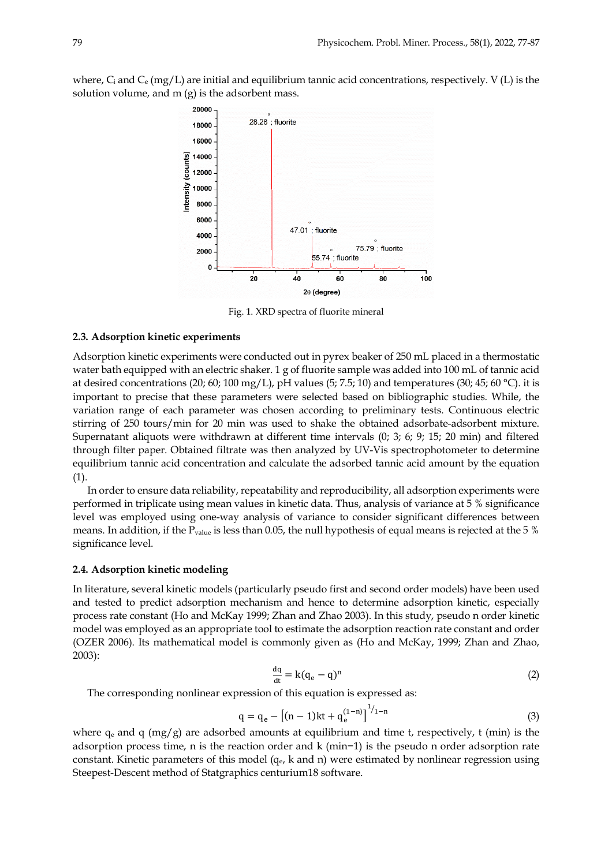where,  $C_i$  and  $C_e$  (mg/L) are initial and equilibrium tannic acid concentrations, respectively. V (L) is the solution volume, and m (g) is the adsorbent mass.



Fig. 1. XRD spectra of fluorite mineral

### **2.3. Adsorption kinetic experiments**

Adsorption kinetic experiments were conducted out in pyrex beaker of 250 mL placed in a thermostatic water bath equipped with an electric shaker. 1 g of fluorite sample was added into 100 mL of tannic acid at desired concentrations (20; 60; 100 mg/L), pH values (5; 7.5; 10) and temperatures (30; 45; 60 °C). it is important to precise that these parameters were selected based on bibliographic studies. While, the variation range of each parameter was chosen according to preliminary tests. Continuous electric stirring of 250 tours/min for 20 min was used to shake the obtained adsorbate-adsorbent mixture. Supernatant aliquots were withdrawn at different time intervals (0; 3; 6; 9; 15; 20 min) and filtered through filter paper. Obtained filtrate was then analyzed by UV-Vis spectrophotometer to determine equilibrium tannic acid concentration and calculate the adsorbed tannic acid amount by the equation (1).

In order to ensure data reliability, repeatability and reproducibility, all adsorption experiments were performed in triplicate using mean values in kinetic data. Thus, analysis of variance at 5 % significance level was employed using one-way analysis of variance to consider significant differences between means. In addition, if the Pvalue is less than 0.05, the null hypothesis of equal means is rejected at the 5 % significance level.

## **2.4. Adsorption kinetic modeling**

In literature, several kinetic models (particularly pseudo first and second order models) have been used and tested to predict adsorption mechanism and hence to determine adsorption kinetic, especially process rate constant (Ho and McKay 1999; Zhan and Zhao 2003). In this study, pseudo n order kinetic model was employed as an appropriate tool to estimate the adsorption reaction rate constant and order (OZER 2006). Its mathematical model is commonly given as (Ho and McKay, 1999; Zhan and Zhao, 2003):

$$
\frac{dq}{dt} = k(q_e - q)^n \tag{2}
$$

The corresponding nonlinear expression of this equation is expressed as:

$$
q = q_e - [(n-1)kt + q_e^{(1-n)}]^{1/1-n}
$$
\n(3)

where  $q_e$  and q (mg/g) are adsorbed amounts at equilibrium and time t, respectively, t (min) is the adsorption process time, n is the reaction order and k (min−1) is the pseudo n order adsorption rate constant. Kinetic parameters of this model  $(q_e, k \text{ and } n)$  were estimated by nonlinear regression using Steepest-Descent method of Statgraphics centurium18 software.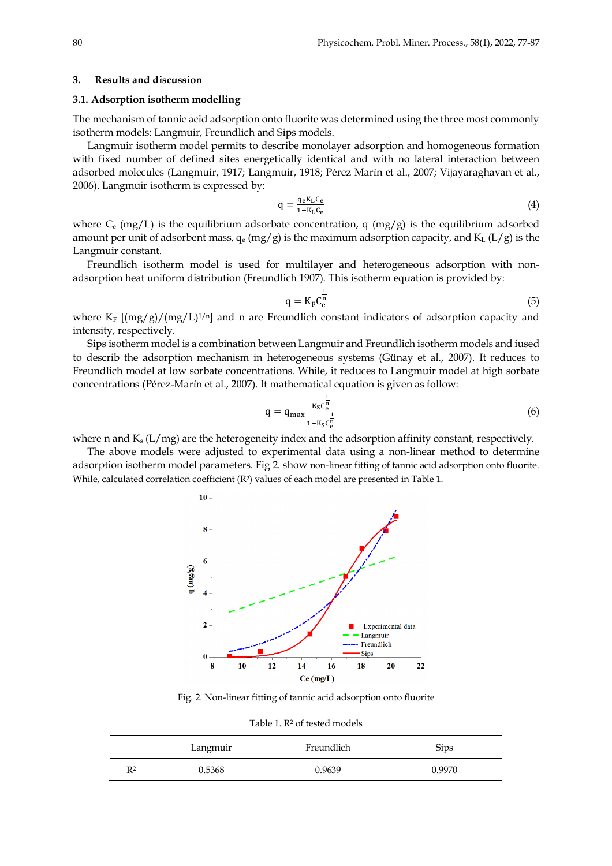#### **3. Results and discussion**

#### **3.1. Adsorption isotherm modelling**

The mechanism of tannic acid adsorption onto fluorite was determined using the three most commonly isotherm models: Langmuir, Freundlich and Sips models.

Langmuir isotherm model permits to describe monolayer adsorption and homogeneous formation with fixed number of defined sites energetically identical and with no lateral interaction between adsorbed molecules (Langmuir, 1917; Langmuir, 1918; Pérez Marín et al., 2007; Vijayaraghavan et al., 2006). Langmuir isotherm is expressed by:

$$
q = \frac{q_e K_L C_e}{1 + K_L C_e} \tag{4}
$$

where  $C_e$  (mg/L) is the equilibrium adsorbate concentration, q (mg/g) is the equilibrium adsorbed amount per unit of adsorbent mass,  $q_e (mg/g)$  is the maximum adsorption capacity, and  $K_L (L/g)$  is the Langmuir constant.

Freundlich isotherm model is used for multilayer and heterogeneous adsorption with nonadsorption heat uniform distribution (Freundlich 1907). This isotherm equation is provided by:

$$
q = K_{F} C_{e}^{\frac{1}{n}} \tag{5}
$$

where K<sub>F</sub>  $[(mg/g)/(mg/L)^{1/n}]$  and n are Freundlich constant indicators of adsorption capacity and intensity, respectively.

Sips isotherm model is a combination between Langmuir and Freundlich isotherm models and iused to describ the adsorption mechanism in heterogeneous systems (Günay et al., 2007). It reduces to Freundlich model at low sorbate concentrations. While, it reduces to Langmuir model at high sorbate concentrations (Pérez-Marín et al., 2007). It mathematical equation is given as follow:

$$
q = q_{\max} \frac{K_S c_e^{\frac{1}{n}}}{1 + K_S c_e^{\frac{1}{n}}}
$$
 (6)

where n and  $K_s$  (L/mg) are the heterogeneity index and the adsorption affinity constant, respectively.

The above models were adjusted to experimental data using a non-linear method to determine adsorption isotherm model parameters. Fig 2. show non-linear fitting of tannic acid adsorption onto fluorite. While, calculated correlation coefficient (R<sup>2</sup>) values of each model are presented in Table 1.



Fig. 2. Non-linear fitting of tannic acid adsorption onto fluorite

Table 1. R<sup>2</sup> of tested models

|    | Langmuir | Freundlich | <b>Sips</b> |
|----|----------|------------|-------------|
| R2 | 0.5368   | 0.9639     | 0.9970      |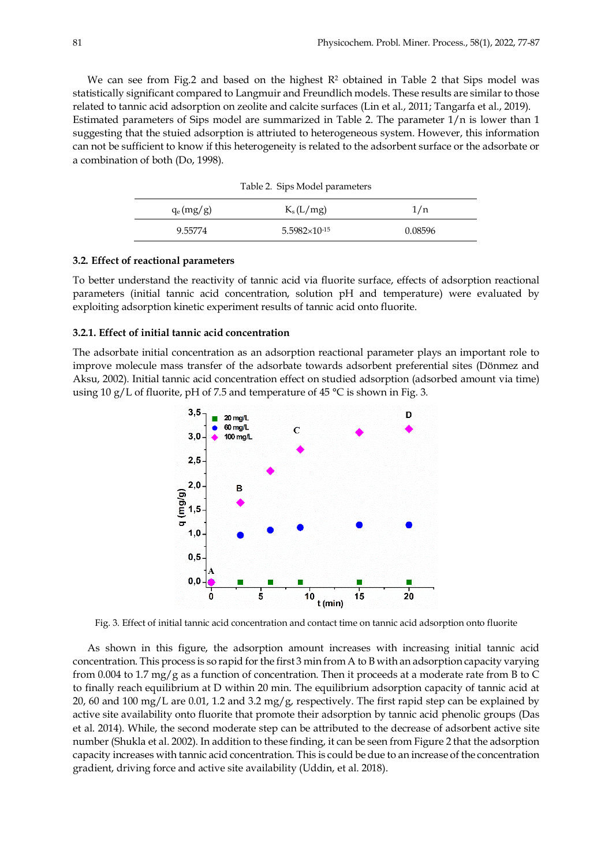We can see from Fig.2 and based on the highest  $R<sup>2</sup>$  obtained in Table 2 that Sips model was statistically significant compared to Langmuir and Freundlich models. These results are similar to those related to tannic acid adsorption on zeolite and calcite surfaces (Lin et al., 2011; Tangarfa et al., 2019). Estimated parameters of Sips model are summarized in Table 2. The parameter  $1/n$  is lower than 1 suggesting that the stuied adsorption is attriuted to heterogeneous system. However, this information can not be sufficient to know if this heterogeneity is related to the adsorbent surface or the adsorbate or a combination of both (Do, 1998).

|              | rable 2. Sips Moder parameters |         |
|--------------|--------------------------------|---------|
| $q_e (mg/g)$ | $K_s(L/mg)$                    | 1/n     |
| 9.55774      | $5.5982\times10^{-15}$         | 0.08596 |

Table 2. Sips Model parameters

#### **3.2. Effect of reactional parameters**

To better understand the reactivity of tannic acid via fluorite surface, effects of adsorption reactional parameters (initial tannic acid concentration, solution pH and temperature) were evaluated by exploiting adsorption kinetic experiment results of tannic acid onto fluorite.

## **3.2.1. Effect of initial tannic acid concentration**

The adsorbate initial concentration as an adsorption reactional parameter plays an important role to improve molecule mass transfer of the adsorbate towards adsorbent preferential sites (Dönmez and Aksu, 2002). Initial tannic acid concentration effect on studied adsorption (adsorbed amount via time) using 10 g/L of fluorite, pH of 7.5 and temperature of 45  $^{\circ}$ C is shown in Fig. 3.



Fig. 3. Effect of initial tannic acid concentration and contact time on tannic acid adsorption onto fluorite

As shown in this figure, the adsorption amount increases with increasing initial tannic acid concentration. This process is so rapid for the first 3 min from A to B with an adsorption capacity varying from 0.004 to 1.7 mg/g as a function of concentration. Then it proceeds at a moderate rate from B to C to finally reach equilibrium at D within 20 min. The equilibrium adsorption capacity of tannic acid at 20, 60 and 100 mg/L are 0.01, 1.2 and 3.2 mg/g, respectively. The first rapid step can be explained by active site availability onto fluorite that promote their adsorption by tannic acid phenolic groups (Das et al. 2014). While, the second moderate step can be attributed to the decrease of adsorbent active site number (Shukla et al. 2002). In addition to these finding, it can be seen from Figure 2 that the adsorption capacity increases with tannic acid concentration. This is could be due to an increase of the concentration gradient, driving force and active site availability (Uddin, et al. 2018).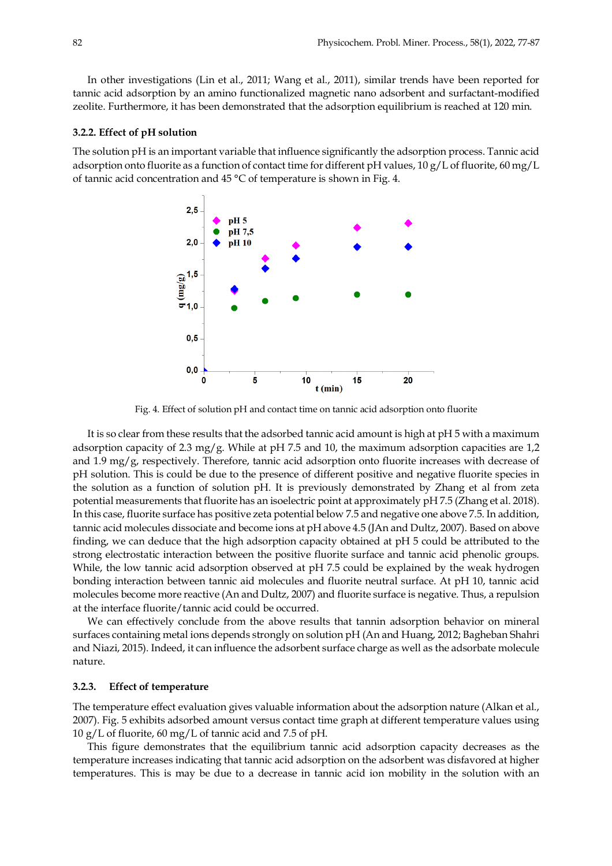In other investigations (Lin et al., 2011; Wang et al., 2011), similar trends have been reported for tannic acid adsorption by an amino functionalized magnetic nano adsorbent and surfactant-modified zeolite. Furthermore, it has been demonstrated that the adsorption equilibrium is reached at 120 min.

#### **3.2.2. Effect of pH solution**

The solution pH is an important variable that influence significantly the adsorption process. Tannic acid adsorption onto fluorite as a function of contact time for different pH values, 10 g/L of fluorite, 60 mg/L of tannic acid concentration and 45 °C of temperature is shown in Fig. 4.



Fig. 4. Effect of solution pH and contact time on tannic acid adsorption onto fluorite

It is so clear from these results that the adsorbed tannic acid amount is high at pH 5 with a maximum adsorption capacity of 2.3 mg/g. While at pH 7.5 and 10, the maximum adsorption capacities are 1,2 and  $1.9 \text{ mg/g}$ , respectively. Therefore, tannic acid adsorption onto fluorite increases with decrease of pH solution. This is could be due to the presence of different positive and negative fluorite species in the solution as a function of solution pH. It is previously demonstrated by Zhang et al from zeta potential measurements that fluorite has an isoelectric point at approximately pH 7.5 (Zhang et al. 2018). In this case, fluorite surface has positive zeta potential below 7.5 and negative one above 7.5. In addition, tannic acid molecules dissociate and become ions at pH above 4.5 (JAn and Dultz, 2007). Based on above finding, we can deduce that the high adsorption capacity obtained at pH 5 could be attributed to the strong electrostatic interaction between the positive fluorite surface and tannic acid phenolic groups. While, the low tannic acid adsorption observed at pH 7.5 could be explained by the weak hydrogen bonding interaction between tannic aid molecules and fluorite neutral surface. At pH 10, tannic acid molecules become more reactive (An and Dultz, 2007) and fluorite surface is negative. Thus, a repulsion at the interface fluorite/tannic acid could be occurred.

We can effectively conclude from the above results that tannin adsorption behavior on mineral surfaces containing metal ions depends strongly on solution pH (An and Huang, 2012; Bagheban Shahri and Niazi, 2015). Indeed, it can influence the adsorbent surface charge as well as the adsorbate molecule nature.

#### **3.2.3. Effect of temperature**

The temperature effect evaluation gives valuable information about the adsorption nature (Alkan et al., 2007). Fig. 5 exhibits adsorbed amount versus contact time graph at different temperature values using 10 g/L of fluorite, 60 mg/L of tannic acid and 7.5 of pH.

This figure demonstrates that the equilibrium tannic acid adsorption capacity decreases as the temperature increases indicating that tannic acid adsorption on the adsorbent was disfavored at higher temperatures. This is may be due to a decrease in tannic acid ion mobility in the solution with an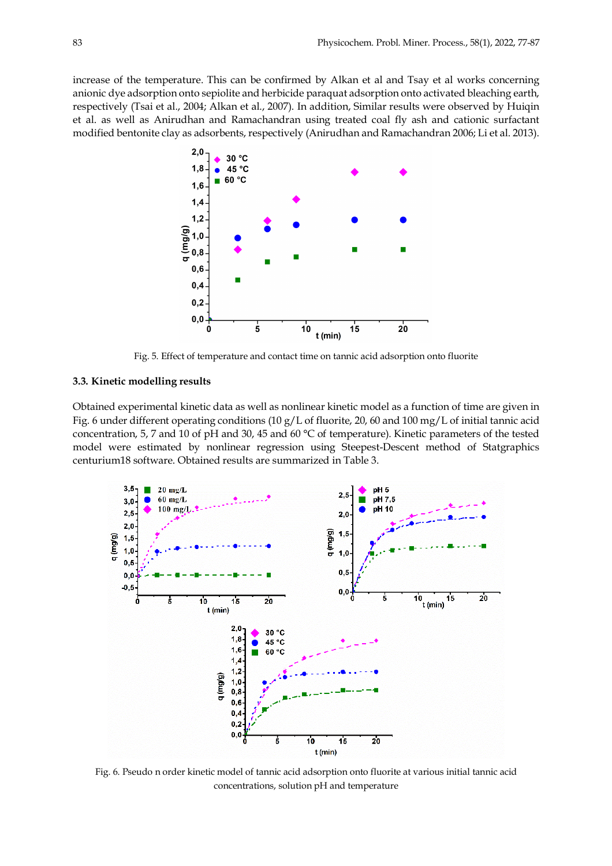increase of the temperature. This can be confirmed by Alkan et al and Tsay et al works concerning anionic dye adsorption onto sepiolite and herbicide paraquat adsorption onto activated bleaching earth, respectively (Tsai et al., 2004; Alkan et al., 2007). In addition, Similar results were observed by Huiqin et al. as well as Anirudhan and Ramachandran using treated coal fly ash and cationic surfactant modified bentonite clay as adsorbents, respectively (Anirudhan and Ramachandran 2006; Li et al. 2013).



Fig. 5. Effect of temperature and contact time on tannic acid adsorption onto fluorite

## **3.3. Kinetic modelling results**

Obtained experimental kinetic data as well as nonlinear kinetic model as a function of time are given in Fig. 6 under different operating conditions (10 g/L of fluorite, 20, 60 and 100 mg/L of initial tannic acid concentration, 5, 7 and 10 of pH and 30, 45 and 60 °C of temperature). Kinetic parameters of the tested model were estimated by nonlinear regression using Steepest-Descent method of Statgraphics centurium18 software. Obtained results are summarized in Table 3.



Fig. 6. Pseudo n order kinetic model of tannic acid adsorption onto fluorite at various initial tannic acid concentrations, solution pH and temperature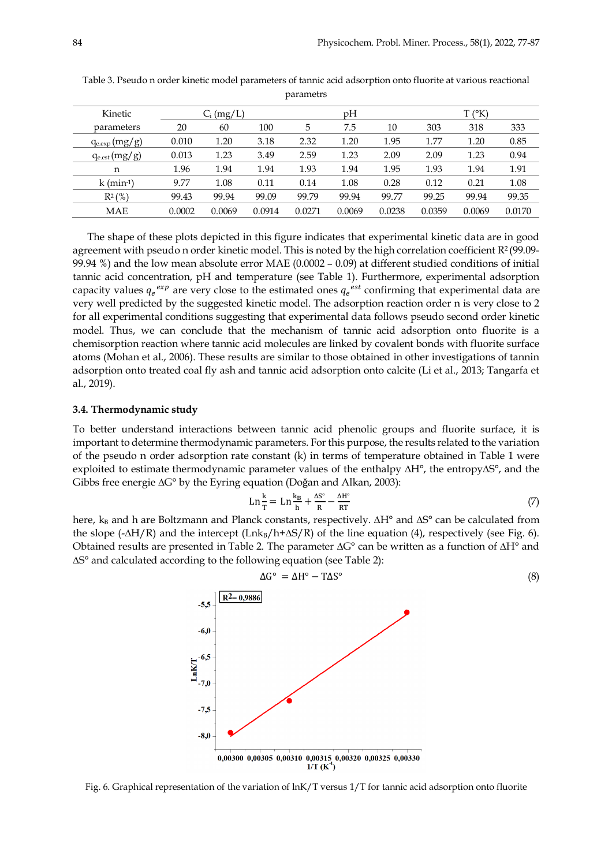| <b>Kinetic</b>           |        | $C_i$ (mg/L) |        |        | pH     |        |        | $T(^\circ K)$ |        |
|--------------------------|--------|--------------|--------|--------|--------|--------|--------|---------------|--------|
| parameters               | 20     | 60           | 100    | 5      | 7.5    | 10     | 303    | 318           | 333    |
| $q_{e,exp}(mg/g)$        | 0.010  | 1.20         | 3.18   | 2.32   | 1.20   | 1.95   | 1.77   | 1.20          | 0.85   |
| $q_{e,est}(mg/g)$        | 0.013  | 1.23         | 3.49   | 2.59   | 1.23   | 2.09   | 2.09   | 1.23          | 0.94   |
| n                        | 1.96   | 1.94         | 1.94   | 1.93   | 1.94   | 1.95   | 1.93   | 1.94          | 1.91   |
| $k$ (min <sup>-1</sup> ) | 9.77   | 1.08         | 0.11   | 0.14   | 1.08   | 0.28   | 0.12   | 0.21          | 1.08   |
| $R^{2}$ (%)              | 99.43  | 99.94        | 99.09  | 99.79  | 99.94  | 99.77  | 99.25  | 99.94         | 99.35  |
| MAE                      | 0.0002 | 0.0069       | 0.0914 | 0.0271 | 0.0069 | 0.0238 | 0.0359 | 0.0069        | 0.0170 |

Table 3. Pseudo n order kinetic model parameters of tannic acid adsorption onto fluorite at various reactional parametrs

The shape of these plots depicted in this figure indicates that experimental kinetic data are in good agreement with pseudo n order kinetic model. This is noted by the high correlation coefficient  $R^2$  (99.09-99.94 %) and the low mean absolute error MAE (0.0002 – 0.09) at different studied conditions of initial tannic acid concentration, pH and temperature (see Table 1). Furthermore, experimental adsorption capacity values  $q_e^{exp}$  are very close to the estimated ones  $q_e^{est}$  confirming that experimental data are very well predicted by the suggested kinetic model. The adsorption reaction order n is very close to 2 for all experimental conditions suggesting that experimental data follows pseudo second order kinetic model. Thus, we can conclude that the mechanism of tannic acid adsorption onto fluorite is a chemisorption reaction where tannic acid molecules are linked by covalent bonds with fluorite surface atoms (Mohan et al., 2006). These results are similar to those obtained in other investigations of tannin adsorption onto treated coal fly ash and tannic acid adsorption onto calcite (Li et al., 2013; Tangarfa et al., 2019).

## **3.4. Thermodynamic study**

To better understand interactions between tannic acid phenolic groups and fluorite surface, it is important to determine thermodynamic parameters. For this purpose, the results related to the variation of the pseudo n order adsorption rate constant (k) in terms of temperature obtained in Table 1 were exploited to estimate thermodynamic parameter values of the enthalpy ∆H°, the entropy∆S°, and the Gibbs free energie ∆G° by the Eyring equation (Doǧan and Alkan, 2003):

$$
\operatorname{Ln} \frac{k}{T} = \operatorname{Ln} \frac{k_B}{h} + \frac{\Delta S^\circ}{R} - \frac{\Delta H^\circ}{RT} \tag{7}
$$

here, k<sub>B</sub> and h are Boltzmann and Planck constants, respectively. ∆H<sup>°</sup> and ∆S<sup>°</sup> can be calculated from the slope (- $\Delta H/R$ ) and the intercept (Lnk<sub>B</sub>/h+ $\Delta S/R$ ) of the line equation (4), respectively (see Fig. 6). Obtained results are presented in Table 2. The parameter ∆G° can be written as a function of ∆H° and ∆S° and calculated according to the following equation (see Table 2):



Fig. 6. Graphical representation of the variation of lnK/T versus 1/T for tannic acid adsorption onto fluorite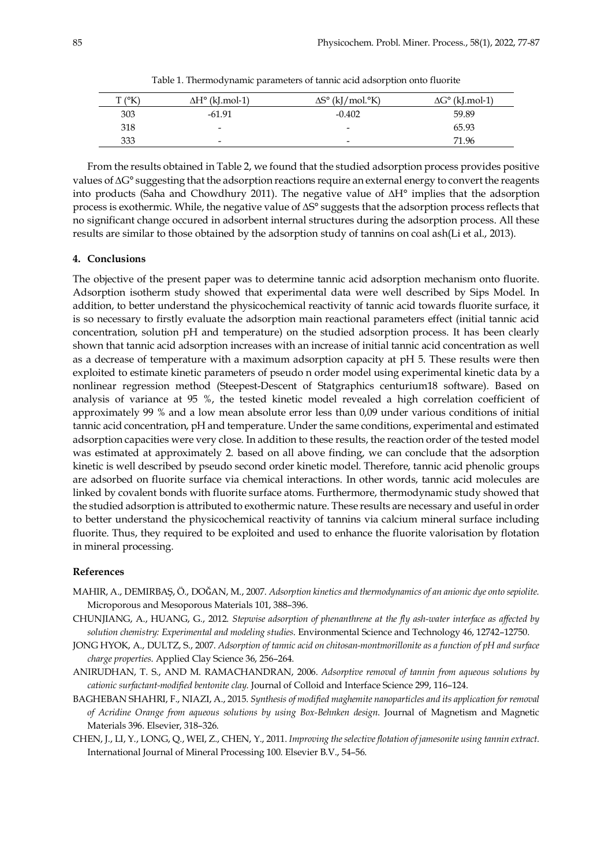| $T$ ( $K$ | $\Delta H^{\circ}$ (kJ.mol-1) | $\Delta S^{\circ}$ (kJ/mol. $\rm{K}$ ) | $\Delta G^{\circ}$ (kJ.mol-1) |
|-----------|-------------------------------|----------------------------------------|-------------------------------|
| 303       | $-61.91$                      | $-0.402$                               | 59.89                         |
| 318       | $\overline{\phantom{0}}$      | $\overline{\phantom{0}}$               | 65.93                         |
| 333       | $\overline{\phantom{0}}$      | $\overline{\phantom{0}}$               | 71.96                         |

Table 1. Thermodynamic parameters of tannic acid adsorption onto fluorite

From the results obtained in Table 2, we found that the studied adsorption process provides positive values of ∆G° suggesting that the adsorption reactions require an external energy to convert the reagents into products (Saha and Chowdhury 2011). The negative value of ∆H° implies that the adsorption process is exothermic. While, the negative value of ∆S° suggests that the adsorption process reflects that no significant change occured in adsorbent internal structures during the adsorption process. All these results are similar to those obtained by the adsorption study of tannins on coal ash(Li et al., 2013).

#### **4. Conclusions**

The objective of the present paper was to determine tannic acid adsorption mechanism onto fluorite. Adsorption isotherm study showed that experimental data were well described by Sips Model. In addition, to better understand the physicochemical reactivity of tannic acid towards fluorite surface, it is so necessary to firstly evaluate the adsorption main reactional parameters effect (initial tannic acid concentration, solution pH and temperature) on the studied adsorption process. It has been clearly shown that tannic acid adsorption increases with an increase of initial tannic acid concentration as well as a decrease of temperature with a maximum adsorption capacity at pH 5. These results were then exploited to estimate kinetic parameters of pseudo n order model using experimental kinetic data by a nonlinear regression method (Steepest-Descent of Statgraphics centurium18 software). Based on analysis of variance at 95 %, the tested kinetic model revealed a high correlation coefficient of approximately 99 % and a low mean absolute error less than 0,09 under various conditions of initial tannic acid concentration, pH and temperature. Under the same conditions, experimental and estimated adsorption capacities were very close. In addition to these results, the reaction order of the tested model was estimated at approximately 2. based on all above finding, we can conclude that the adsorption kinetic is well described by pseudo second order kinetic model. Therefore, tannic acid phenolic groups are adsorbed on fluorite surface via chemical interactions. In other words, tannic acid molecules are linked by covalent bonds with fluorite surface atoms. Furthermore, thermodynamic study showed that the studied adsorption is attributed to exothermic nature. These results are necessary and useful in order to better understand the physicochemical reactivity of tannins via calcium mineral surface including fluorite. Thus, they required to be exploited and used to enhance the fluorite valorisation by flotation in mineral processing.

#### **References**

- MAHIR, A., DEMIRBAŞ, Ö., DOǦAN, M., 2007. *Adsorption kinetics and thermodynamics of an anionic dye onto sepiolite.*  Microporous and Mesoporous Materials 101, 388–396.
- CHUNJIANG, A., HUANG, G., 2012. *Stepwise adsorption of phenanthrene at the fly ash-water interface as affected by solution chemistry: Experimental and modeling studies*. Environmental Science and Technology 46, 12742–12750.
- JONG HYOK, A., DULTZ, S., 2007. *Adsorption of tannic acid on chitosan-montmorillonite as a function of pH and surface charge properties*. Applied Clay Science 36, 256–264.
- ANIRUDHAN, T. S., AND M. RAMACHANDRAN, 2006. *Adsorptive removal of tannin from aqueous solutions by cationic surfactant-modified bentonite clay*. Journal of Colloid and Interface Science 299, 116–124.
- BAGHEBAN SHAHRI, F., NIAZI, A., 2015. *Synthesis of modified maghemite nanoparticles and its application for removal of Acridine Orange from aqueous solutions by using Box-Behnken design*. Journal of Magnetism and Magnetic Materials 396. Elsevier, 318–326.
- CHEN, J., LI, Y., LONG, Q., WEI, Z., CHEN, Y., 2011. *Improving the selective flotation of jamesonite using tannin extract.* International Journal of Mineral Processing 100. Elsevier B.V., 54–56.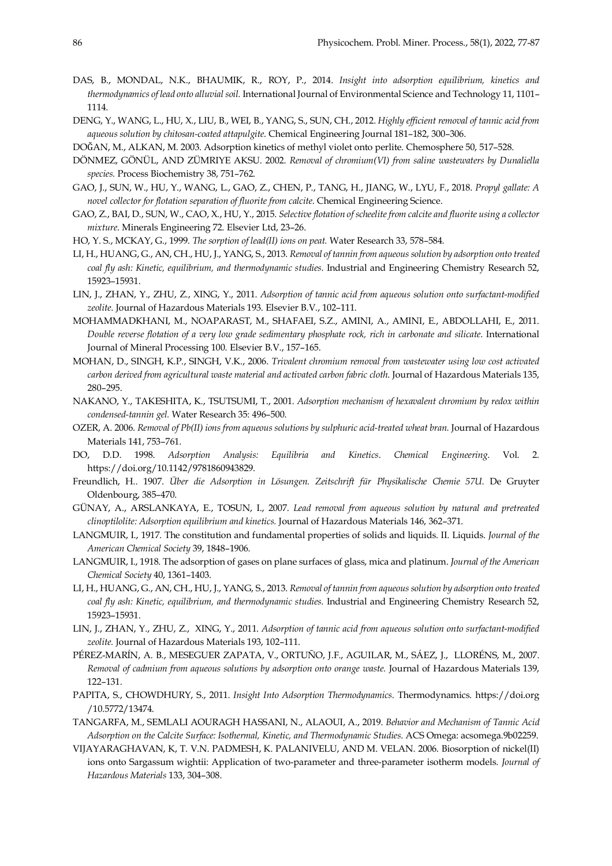- DAS, B., MONDAL, N.K., BHAUMIK, R., ROY, P., 2014. *Insight into adsorption equilibrium, kinetics and thermodynamics of lead onto alluvial soil.* International Journal of Environmental Science and Technology 11, 1101– 1114.
- DENG, Y., WANG, L., HU, X., LIU, B., WEI, B., YANG, S., SUN, CH., 2012. *Highly efficient removal of tannic acid from aqueous solution by chitosan-coated attapulgite*. Chemical Engineering Journal 181–182, 300–306.
- DOǦAN, M., ALKAN, M. 2003. Adsorption kinetics of methyl violet onto perlite. Chemosphere 50, 517–528.
- DÖNMEZ, GÖNÜL, AND ZÜMRIYE AKSU. 2002. *Removal of chromium(VI) from saline wastewaters by Dunaliella species.* Process Biochemistry 38, 751–762.
- GAO, J., SUN, W., HU, Y., WANG, L., GAO, Z., CHEN, P., TANG, H., JIANG, W., LYU, F., 2018. *Propyl gallate: A novel collector for flotation separation of fluorite from calcite*. Chemical Engineering Science.
- GAO, Z., BAI, D., SUN, W., CAO, X., HU, Y., 2015. *Selective flotation of scheelite from calcite and fluorite using a collector mixture*. Minerals Engineering 72. Elsevier Ltd, 23–26.
- HO, Y. S., MCKAY, G., 1999. *The sorption of lead(II) ions on peat.* Water Research 33, 578–584.
- LI, H., HUANG, G., AN, CH., HU, J., YANG, S., 2013. *Removal of tannin from aqueous solution by adsorption onto treated coal fly ash: Kinetic, equilibrium, and thermodynamic studies*. Industrial and Engineering Chemistry Research 52, 15923–15931.
- LIN, J., ZHAN, Y., ZHU, Z., XING, Y., 2011. *Adsorption of tannic acid from aqueous solution onto surfactant-modified zeolite*. Journal of Hazardous Materials 193. Elsevier B.V., 102–111.
- MOHAMMADKHANI, M., NOAPARAST, M., SHAFAEI, S.Z., AMINI, A., AMINI, E., ABDOLLAHI, E., 2011. *Double reverse flotation of a very low grade sedimentary phosphate rock, rich in carbonate and silicate*. International Journal of Mineral Processing 100. Elsevier B.V., 157–165.
- MOHAN, D., SINGH, K.P., SINGH, V.K., 2006. *Trivalent chromium removal from wastewater using low cost activated carbon derived from agricultural waste material and activated carbon fabric cloth*. Journal of Hazardous Materials 135, 280–295.
- NAKANO, Y., TAKESHITA, K., TSUTSUMI, T., 2001. *Adsorption mechanism of hexavalent chromium by redox within condensed-tannin gel.* Water Research 35: 496–500.
- OZER, A. 2006. *Removal of Pb(II) ions from aqueous solutions by sulphuric acid-treated wheat bran.* Journal of Hazardous Materials 141, 753–761.
- DO, D.D. 1998. *Adsorption Analysis: Equilibria and Kinetics*. *Chemical Engineering*. Vol. 2. https://doi.org/10.1142/9781860943829.
- Freundlich, H.. 1907. *Über die Adsorption in Lösungen. Zeitschrift für Physikalische Chemie 57U*. De Gruyter Oldenbourg, 385–470.
- GÜNAY, A., ARSLANKAYA, E., TOSUN, I., 2007. *Lead removal from aqueous solution by natural and pretreated clinoptilolite: Adsorption equilibrium and kinetics.* Journal of Hazardous Materials 146, 362–371.
- LANGMUIR, I., 1917. The constitution and fundamental properties of solids and liquids. II. Liquids. *Journal of the American Chemical Society* 39, 1848–1906.
- LANGMUIR, I., 1918. The adsorption of gases on plane surfaces of glass, mica and platinum. *Journal of the American Chemical Society* 40, 1361–1403.
- LI, H., HUANG, G., AN, CH., HU, J., YANG, S., 2013. *Removal of tannin from aqueous solution by adsorption onto treated coal fly ash: Kinetic, equilibrium, and thermodynamic studies.* Industrial and Engineering Chemistry Research 52, 15923–15931.
- LIN, J., ZHAN, Y., ZHU, Z., XING, Y., 2011. *Adsorption of tannic acid from aqueous solution onto surfactant-modified zeolite.* Journal of Hazardous Materials 193, 102–111.
- PÉREZ-MARÍN, A. B., MESEGUER ZAPATA, V., ORTUÑO, J.F., AGUILAR, M., SÁEZ, J., LLORÉNS, M., 2007. *Removal of cadmium from aqueous solutions by adsorption onto orange waste.* Journal of Hazardous Materials 139, 122–131.
- PAPITA, S., CHOWDHURY, S., 2011. *Insight Into Adsorption Thermodynamics*. Thermodynamics. https://doi.org /10.5772/13474.
- TANGARFA, M., SEMLALI AOURAGH HASSANI, N., ALAOUI, A., 2019. *Behavior and Mechanism of Tannic Acid Adsorption on the Calcite Surface: Isothermal, Kinetic, and Thermodynamic Studies*. ACS Omega: acsomega.9b02259.
- VIJAYARAGHAVAN, K, T. V.N. PADMESH, K. PALANIVELU, AND M. VELAN. 2006. Biosorption of nickel(II) ions onto Sargassum wightii: Application of two-parameter and three-parameter isotherm models. *Journal of Hazardous Materials* 133, 304–308.